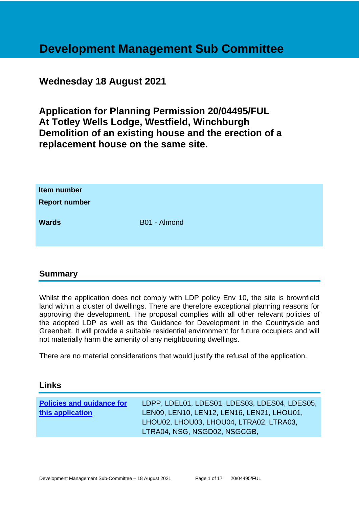# **Development Management Sub Committee**

## **Wednesday 18 August 2021**

**Application for Planning Permission 20/04495/FUL At Totley Wells Lodge, Westfield, Winchburgh Demolition of an existing house and the erection of a replacement house on the same site.**

| Item number<br><b>Report number</b> |              |
|-------------------------------------|--------------|
| <b>Wards</b>                        | B01 - Almond |

## **Summary**

Whilst the application does not comply with LDP policy Env 10, the site is brownfield land within a cluster of dwellings. There are therefore exceptional planning reasons for approving the development. The proposal complies with all other relevant policies of the adopted LDP as well as the Guidance for Development in the Countryside and Greenbelt. It will provide a suitable residential environment for future occupiers and will not materially harm the amenity of any neighbouring dwellings.

There are no material considerations that would justify the refusal of the application.

## **Links**

| <b>Policies and guidance for</b> | LDPP, LDEL01, LDES01, LDES03, LDES04, LDES05, |
|----------------------------------|-----------------------------------------------|
| this application                 | LEN09, LEN10, LEN12, LEN16, LEN21, LHOU01,    |
|                                  | LHOU02, LHOU03, LHOU04, LTRA02, LTRA03,       |
|                                  | LTRA04, NSG, NSGD02, NSGCGB,                  |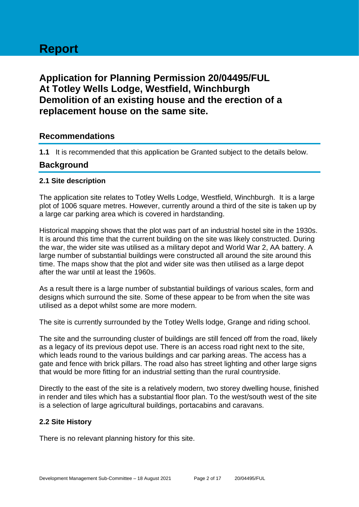# **Report**

## **Application for Planning Permission 20/04495/FUL At Totley Wells Lodge, Westfield, Winchburgh Demolition of an existing house and the erection of a replacement house on the same site.**

## **Recommendations**

**1.1** It is recommended that this application be Granted subject to the details below.

## **Background**

#### **2.1 Site description**

The application site relates to Totley Wells Lodge, Westfield, Winchburgh. It is a large plot of 1006 square metres. However, currently around a third of the site is taken up by a large car parking area which is covered in hardstanding.

Historical mapping shows that the plot was part of an industrial hostel site in the 1930s. It is around this time that the current building on the site was likely constructed. During the war, the wider site was utilised as a military depot and World War 2, AA battery. A large number of substantial buildings were constructed all around the site around this time. The maps show that the plot and wider site was then utilised as a large depot after the war until at least the 1960s.

As a result there is a large number of substantial buildings of various scales, form and designs which surround the site. Some of these appear to be from when the site was utilised as a depot whilst some are more modern.

The site is currently surrounded by the Totley Wells lodge, Grange and riding school.

The site and the surrounding cluster of buildings are still fenced off from the road, likely as a legacy of its previous depot use. There is an access road right next to the site, which leads round to the various buildings and car parking areas. The access has a gate and fence with brick pillars. The road also has street lighting and other large signs that would be more fitting for an industrial setting than the rural countryside.

Directly to the east of the site is a relatively modern, two storey dwelling house, finished in render and tiles which has a substantial floor plan. To the west/south west of the site is a selection of large agricultural buildings, portacabins and caravans.

#### **2.2 Site History**

There is no relevant planning history for this site.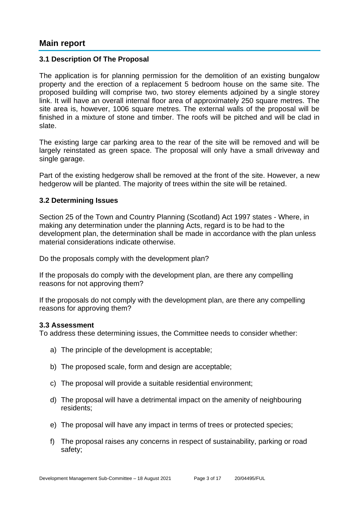## **Main report**

#### **3.1 Description Of The Proposal**

The application is for planning permission for the demolition of an existing bungalow property and the erection of a replacement 5 bedroom house on the same site. The proposed building will comprise two, two storey elements adjoined by a single storey link. It will have an overall internal floor area of approximately 250 square metres. The site area is, however, 1006 square metres. The external walls of the proposal will be finished in a mixture of stone and timber. The roofs will be pitched and will be clad in slate.

The existing large car parking area to the rear of the site will be removed and will be largely reinstated as green space. The proposal will only have a small driveway and single garage.

Part of the existing hedgerow shall be removed at the front of the site. However, a new hedgerow will be planted. The majority of trees within the site will be retained.

#### **3.2 Determining Issues**

Section 25 of the Town and Country Planning (Scotland) Act 1997 states - Where, in making any determination under the planning Acts, regard is to be had to the development plan, the determination shall be made in accordance with the plan unless material considerations indicate otherwise.

Do the proposals comply with the development plan?

If the proposals do comply with the development plan, are there any compelling reasons for not approving them?

If the proposals do not comply with the development plan, are there any compelling reasons for approving them?

#### **3.3 Assessment**

To address these determining issues, the Committee needs to consider whether:

- a) The principle of the development is acceptable;
- b) The proposed scale, form and design are acceptable;
- c) The proposal will provide a suitable residential environment;
- d) The proposal will have a detrimental impact on the amenity of neighbouring residents;
- e) The proposal will have any impact in terms of trees or protected species;
- f) The proposal raises any concerns in respect of sustainability, parking or road safety;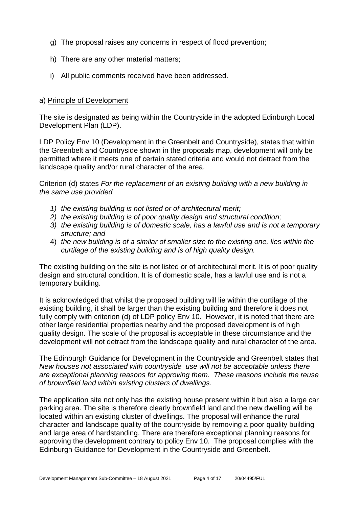- g) The proposal raises any concerns in respect of flood prevention;
- h) There are any other material matters;
- i) All public comments received have been addressed.

#### a) Principle of Development

The site is designated as being within the Countryside in the adopted Edinburgh Local Development Plan (LDP).

LDP Policy Env 10 (Development in the Greenbelt and Countryside), states that within the Greenbelt and Countryside shown in the proposals map, development will only be permitted where it meets one of certain stated criteria and would not detract from the landscape quality and/or rural character of the area.

Criterion (d) states *For the replacement of an existing building with a new building in the same use provided* 

- *1) the existing building is not listed or of architectural merit;*
- *2) the existing building is of poor quality design and structural condition;*
- *3) the existing building is of domestic scale, has a lawful use and is not a temporary structure; and*
- 4) *the new building is of a similar of smaller size to the existing one, lies within the curtilage of the existing building and is of high quality design.*

The existing building on the site is not listed or of architectural merit. It is of poor quality design and structural condition. It is of domestic scale, has a lawful use and is not a temporary building.

It is acknowledged that whilst the proposed building will lie within the curtilage of the existing building, it shall be larger than the existing building and therefore it does not fully comply with criterion (d) of LDP policy Env 10. However, it is noted that there are other large residential properties nearby and the proposed development is of high quality design. The scale of the proposal is acceptable in these circumstance and the development will not detract from the landscape quality and rural character of the area.

The Edinburgh Guidance for Development in the Countryside and Greenbelt states that *New houses not associated with countryside use will not be acceptable unless there are exceptional planning reasons for approving them. These reasons include the reuse of brownfield land within existing clusters of dwellings*.

The application site not only has the existing house present within it but also a large car parking area. The site is therefore clearly brownfield land and the new dwelling will be located within an existing cluster of dwellings. The proposal will enhance the rural character and landscape quality of the countryside by removing a poor quality building and large area of hardstanding. There are therefore exceptional planning reasons for approving the development contrary to policy Env 10. The proposal complies with the Edinburgh Guidance for Development in the Countryside and Greenbelt.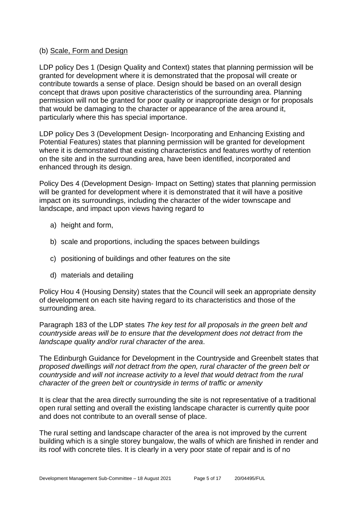#### (b) Scale, Form and Design

LDP policy Des 1 (Design Quality and Context) states that planning permission will be granted for development where it is demonstrated that the proposal will create or contribute towards a sense of place. Design should be based on an overall design concept that draws upon positive characteristics of the surrounding area. Planning permission will not be granted for poor quality or inappropriate design or for proposals that would be damaging to the character or appearance of the area around it, particularly where this has special importance.

LDP policy Des 3 (Development Design- Incorporating and Enhancing Existing and Potential Features) states that planning permission will be granted for development where it is demonstrated that existing characteristics and features worthy of retention on the site and in the surrounding area, have been identified, incorporated and enhanced through its design.

Policy Des 4 (Development Design- Impact on Setting) states that planning permission will be granted for development where it is demonstrated that it will have a positive impact on its surroundings, including the character of the wider townscape and landscape, and impact upon views having regard to

- a) height and form,
- b) scale and proportions, including the spaces between buildings
- c) positioning of buildings and other features on the site
- d) materials and detailing

Policy Hou 4 (Housing Density) states that the Council will seek an appropriate density of development on each site having regard to its characteristics and those of the surrounding area.

Paragraph 183 of the LDP states *The key test for all proposals in the green belt and countryside areas will be to ensure that the development does not detract from the landscape quality and/or rural character of the area*.

The Edinburgh Guidance for Development in the Countryside and Greenbelt states that *proposed dwellings will not detract from the open, rural character of the green belt or countryside and will not increase activity to a level that would detract from the rural character of the green belt or countryside in terms of traffic or amenity*

It is clear that the area directly surrounding the site is not representative of a traditional open rural setting and overall the existing landscape character is currently quite poor and does not contribute to an overall sense of place.

The rural setting and landscape character of the area is not improved by the current building which is a single storey bungalow, the walls of which are finished in render and its roof with concrete tiles. It is clearly in a very poor state of repair and is of no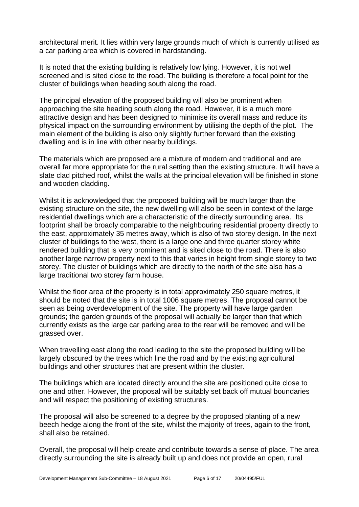architectural merit. It lies within very large grounds much of which is currently utilised as a car parking area which is covered in hardstanding.

It is noted that the existing building is relatively low lying. However, it is not well screened and is sited close to the road. The building is therefore a focal point for the cluster of buildings when heading south along the road.

The principal elevation of the proposed building will also be prominent when approaching the site heading south along the road. However, it is a much more attractive design and has been designed to minimise its overall mass and reduce its physical impact on the surrounding environment by utilising the depth of the plot. The main element of the building is also only slightly further forward than the existing dwelling and is in line with other nearby buildings.

The materials which are proposed are a mixture of modern and traditional and are overall far more appropriate for the rural setting than the existing structure. It will have a slate clad pitched roof, whilst the walls at the principal elevation will be finished in stone and wooden cladding.

Whilst it is acknowledged that the proposed building will be much larger than the existing structure on the site, the new dwelling will also be seen in context of the large residential dwellings which are a characteristic of the directly surrounding area. Its footprint shall be broadly comparable to the neighbouring residential property directly to the east, approximately 35 metres away, which is also of two storey design. In the next cluster of buildings to the west, there is a large one and three quarter storey white rendered building that is very prominent and is sited close to the road. There is also another large narrow property next to this that varies in height from single storey to two storey. The cluster of buildings which are directly to the north of the site also has a large traditional two storey farm house.

Whilst the floor area of the property is in total approximately 250 square metres, it should be noted that the site is in total 1006 square metres. The proposal cannot be seen as being overdevelopment of the site. The property will have large garden grounds; the garden grounds of the proposal will actually be larger than that which currently exists as the large car parking area to the rear will be removed and will be grassed over.

When travelling east along the road leading to the site the proposed building will be largely obscured by the trees which line the road and by the existing agricultural buildings and other structures that are present within the cluster.

The buildings which are located directly around the site are positioned quite close to one and other. However, the proposal will be suitably set back off mutual boundaries and will respect the positioning of existing structures.

The proposal will also be screened to a degree by the proposed planting of a new beech hedge along the front of the site, whilst the majority of trees, again to the front, shall also be retained.

Overall, the proposal will help create and contribute towards a sense of place. The area directly surrounding the site is already built up and does not provide an open, rural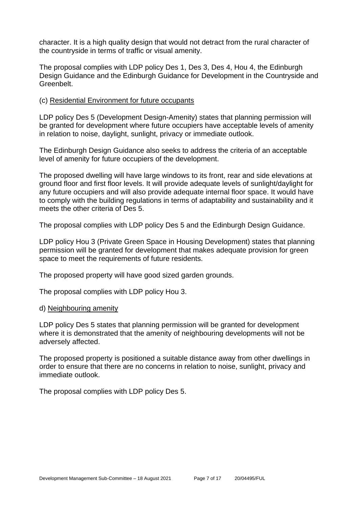character. It is a high quality design that would not detract from the rural character of the countryside in terms of traffic or visual amenity.

The proposal complies with LDP policy Des 1, Des 3, Des 4, Hou 4, the Edinburgh Design Guidance and the Edinburgh Guidance for Development in the Countryside and Greenbelt.

#### (c) Residential Environment for future occupants

LDP policy Des 5 (Development Design-Amenity) states that planning permission will be granted for development where future occupiers have acceptable levels of amenity in relation to noise, daylight, sunlight, privacy or immediate outlook.

The Edinburgh Design Guidance also seeks to address the criteria of an acceptable level of amenity for future occupiers of the development.

The proposed dwelling will have large windows to its front, rear and side elevations at ground floor and first floor levels. It will provide adequate levels of sunlight/daylight for any future occupiers and will also provide adequate internal floor space. It would have to comply with the building regulations in terms of adaptability and sustainability and it meets the other criteria of Des 5.

The proposal complies with LDP policy Des 5 and the Edinburgh Design Guidance.

LDP policy Hou 3 (Private Green Space in Housing Development) states that planning permission will be granted for development that makes adequate provision for green space to meet the requirements of future residents.

The proposed property will have good sized garden grounds.

The proposal complies with LDP policy Hou 3.

#### d) Neighbouring amenity

LDP policy Des 5 states that planning permission will be granted for development where it is demonstrated that the amenity of neighbouring developments will not be adversely affected.

The proposed property is positioned a suitable distance away from other dwellings in order to ensure that there are no concerns in relation to noise, sunlight, privacy and immediate outlook.

The proposal complies with LDP policy Des 5.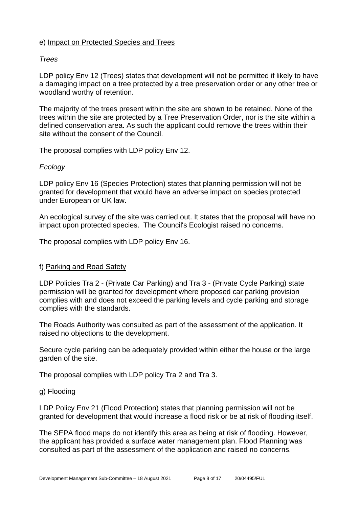#### e) Impact on Protected Species and Trees

#### *Trees*

LDP policy Env 12 (Trees) states that development will not be permitted if likely to have a damaging impact on a tree protected by a tree preservation order or any other tree or woodland worthy of retention.

The majority of the trees present within the site are shown to be retained. None of the trees within the site are protected by a Tree Preservation Order, nor is the site within a defined conservation area. As such the applicant could remove the trees within their site without the consent of the Council.

The proposal complies with LDP policy Env 12.

#### *Ecology*

LDP policy Env 16 (Species Protection) states that planning permission will not be granted for development that would have an adverse impact on species protected under European or UK law.

An ecological survey of the site was carried out. It states that the proposal will have no impact upon protected species. The Council's Ecologist raised no concerns.

The proposal complies with LDP policy Env 16.

#### f) Parking and Road Safety

LDP Policies Tra 2 - (Private Car Parking) and Tra 3 - (Private Cycle Parking) state permission will be granted for development where proposed car parking provision complies with and does not exceed the parking levels and cycle parking and storage complies with the standards.

The Roads Authority was consulted as part of the assessment of the application. It raised no objections to the development.

Secure cycle parking can be adequately provided within either the house or the large garden of the site.

The proposal complies with LDP policy Tra 2 and Tra 3.

#### g) Flooding

LDP Policy Env 21 (Flood Protection) states that planning permission will not be granted for development that would increase a flood risk or be at risk of flooding itself.

The SEPA flood maps do not identify this area as being at risk of flooding. However, the applicant has provided a surface water management plan. Flood Planning was consulted as part of the assessment of the application and raised no concerns.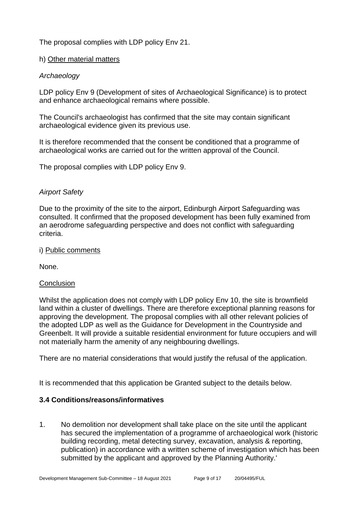## The proposal complies with LDP policy Env 21.

#### h) Other material matters

#### *Archaeology*

LDP policy Env 9 (Development of sites of Archaeological Significance) is to protect and enhance archaeological remains where possible.

The Council's archaeologist has confirmed that the site may contain significant archaeological evidence given its previous use.

It is therefore recommended that the consent be conditioned that a programme of archaeological works are carried out for the written approval of the Council.

The proposal complies with LDP policy Env 9.

#### *Airport Safety*

Due to the proximity of the site to the airport, Edinburgh Airport Safeguarding was consulted. It confirmed that the proposed development has been fully examined from an aerodrome safeguarding perspective and does not conflict with safeguarding criteria.

#### i) Public comments

None.

#### **Conclusion**

Whilst the application does not comply with LDP policy Env 10, the site is brownfield land within a cluster of dwellings. There are therefore exceptional planning reasons for approving the development. The proposal complies with all other relevant policies of the adopted LDP as well as the Guidance for Development in the Countryside and Greenbelt. It will provide a suitable residential environment for future occupiers and will not materially harm the amenity of any neighbouring dwellings.

There are no material considerations that would justify the refusal of the application.

It is recommended that this application be Granted subject to the details below.

#### **3.4 Conditions/reasons/informatives**

1. No demolition nor development shall take place on the site until the applicant has secured the implementation of a programme of archaeological work (historic building recording, metal detecting survey, excavation, analysis & reporting, publication) in accordance with a written scheme of investigation which has been submitted by the applicant and approved by the Planning Authority.'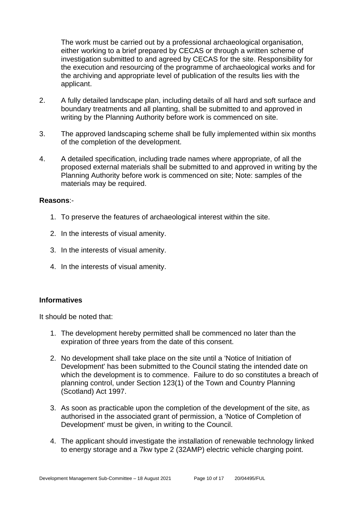The work must be carried out by a professional archaeological organisation, either working to a brief prepared by CECAS or through a written scheme of investigation submitted to and agreed by CECAS for the site. Responsibility for the execution and resourcing of the programme of archaeological works and for the archiving and appropriate level of publication of the results lies with the applicant.

- 2. A fully detailed landscape plan, including details of all hard and soft surface and boundary treatments and all planting, shall be submitted to and approved in writing by the Planning Authority before work is commenced on site.
- 3. The approved landscaping scheme shall be fully implemented within six months of the completion of the development.
- 4. A detailed specification, including trade names where appropriate, of all the proposed external materials shall be submitted to and approved in writing by the Planning Authority before work is commenced on site; Note: samples of the materials may be required.

#### **Reasons**:-

- 1. To preserve the features of archaeological interest within the site.
- 2. In the interests of visual amenity.
- 3. In the interests of visual amenity.
- 4. In the interests of visual amenity.

#### **Informatives**

It should be noted that:

- 1. The development hereby permitted shall be commenced no later than the expiration of three years from the date of this consent.
- 2. No development shall take place on the site until a 'Notice of Initiation of Development' has been submitted to the Council stating the intended date on which the development is to commence. Failure to do so constitutes a breach of planning control, under Section 123(1) of the Town and Country Planning (Scotland) Act 1997.
- 3. As soon as practicable upon the completion of the development of the site, as authorised in the associated grant of permission, a 'Notice of Completion of Development' must be given, in writing to the Council.
- 4. The applicant should investigate the installation of renewable technology linked to energy storage and a 7kw type 2 (32AMP) electric vehicle charging point.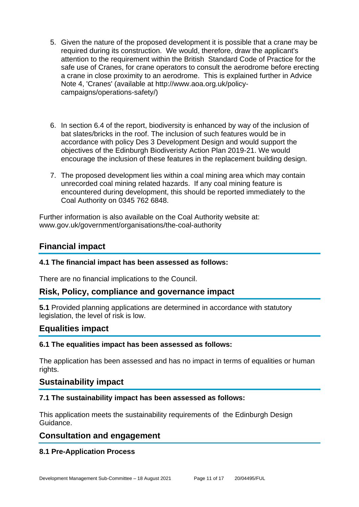- 5. Given the nature of the proposed development it is possible that a crane may be required during its construction. We would, therefore, draw the applicant's attention to the requirement within the British Standard Code of Practice for the safe use of Cranes, for crane operators to consult the aerodrome before erecting a crane in close proximity to an aerodrome. This is explained further in Advice Note 4, 'Cranes' (available at http://www.aoa.org.uk/policycampaigns/operations-safety/)
- 6. In section 6.4 of the report, biodiversity is enhanced by way of the inclusion of bat slates/bricks in the roof. The inclusion of such features would be in accordance with policy Des 3 Development Design and would support the objectives of the Edinburgh Biodiveristy Action Plan 2019-21. We would encourage the inclusion of these features in the replacement building design.
- 7. The proposed development lies within a coal mining area which may contain unrecorded coal mining related hazards. If any coal mining feature is encountered during development, this should be reported immediately to the Coal Authority on 0345 762 6848.

Further information is also available on the Coal Authority website at: www.gov.uk/government/organisations/the-coal-authority

## **Financial impact**

## **4.1 The financial impact has been assessed as follows:**

There are no financial implications to the Council.

## **Risk, Policy, compliance and governance impact**

**5.1** Provided planning applications are determined in accordance with statutory legislation, the level of risk is low.

## **Equalities impact**

#### **6.1 The equalities impact has been assessed as follows:**

The application has been assessed and has no impact in terms of equalities or human rights.

## **Sustainability impact**

## **7.1 The sustainability impact has been assessed as follows:**

This application meets the sustainability requirements of the Edinburgh Design Guidance.

## **Consultation and engagement**

## **8.1 Pre-Application Process**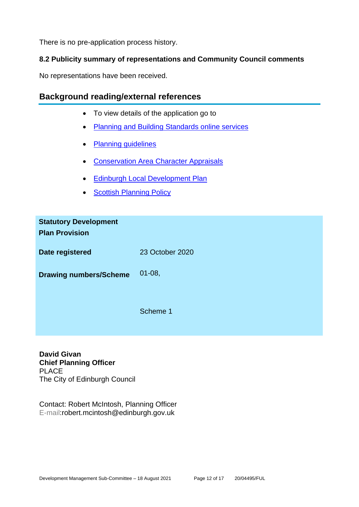There is no pre-application process history.

## **8.2 Publicity summary of representations and Community Council comments**

No representations have been received.

## **Background reading/external references**

- To view details of the application go to
- [Planning and Building Standards online services](https://citydev-portal.edinburgh.gov.uk/idoxpa-web/search.do?action=simple&searchType=Application)
- [Planning guidelines](http://www.edinburgh.gov.uk/planningguidelines)
- [Conservation Area Character Appraisals](http://www.edinburgh.gov.uk/characterappraisals)
- [Edinburgh Local Development Plan](http://www.edinburgh.gov.uk/localdevelopmentplan)
- **[Scottish Planning Policy](http://www.scotland.gov.uk/Topics/Built-Environment/planning/Policy)**

| <b>Statutory Development</b><br><b>Plan Provision</b> |                 |
|-------------------------------------------------------|-----------------|
| Date registered                                       | 23 October 2020 |
| <b>Drawing numbers/Scheme</b>                         | $01 - 08,$      |
|                                                       | Scheme 1        |

**David Givan Chief Planning Officer** PLACE The City of Edinburgh Council

Contact: Robert McIntosh, Planning Officer E-mail:robert.mcintosh@edinburgh.gov.uk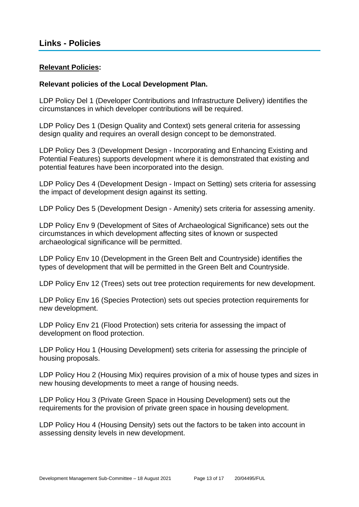#### **Relevant Policies:**

#### **Relevant policies of the Local Development Plan.**

LDP Policy Del 1 (Developer Contributions and Infrastructure Delivery) identifies the circumstances in which developer contributions will be required.

LDP Policy Des 1 (Design Quality and Context) sets general criteria for assessing design quality and requires an overall design concept to be demonstrated.

LDP Policy Des 3 (Development Design - Incorporating and Enhancing Existing and Potential Features) supports development where it is demonstrated that existing and potential features have been incorporated into the design.

LDP Policy Des 4 (Development Design - Impact on Setting) sets criteria for assessing the impact of development design against its setting.

LDP Policy Des 5 (Development Design - Amenity) sets criteria for assessing amenity.

LDP Policy Env 9 (Development of Sites of Archaeological Significance) sets out the circumstances in which development affecting sites of known or suspected archaeological significance will be permitted.

LDP Policy Env 10 (Development in the Green Belt and Countryside) identifies the types of development that will be permitted in the Green Belt and Countryside.

LDP Policy Env 12 (Trees) sets out tree protection requirements for new development.

LDP Policy Env 16 (Species Protection) sets out species protection requirements for new development.

LDP Policy Env 21 (Flood Protection) sets criteria for assessing the impact of development on flood protection.

LDP Policy Hou 1 (Housing Development) sets criteria for assessing the principle of housing proposals.

LDP Policy Hou 2 (Housing Mix) requires provision of a mix of house types and sizes in new housing developments to meet a range of housing needs.

LDP Policy Hou 3 (Private Green Space in Housing Development) sets out the requirements for the provision of private green space in housing development.

LDP Policy Hou 4 (Housing Density) sets out the factors to be taken into account in assessing density levels in new development.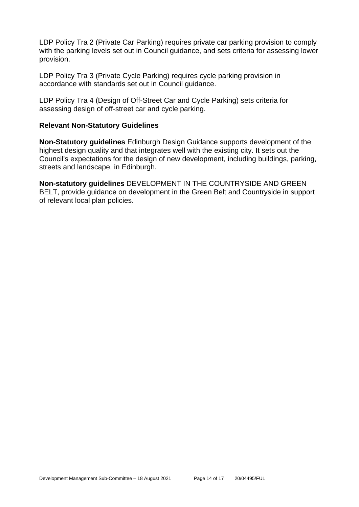LDP Policy Tra 2 (Private Car Parking) requires private car parking provision to comply with the parking levels set out in Council guidance, and sets criteria for assessing lower provision.

LDP Policy Tra 3 (Private Cycle Parking) requires cycle parking provision in accordance with standards set out in Council guidance.

LDP Policy Tra 4 (Design of Off-Street Car and Cycle Parking) sets criteria for assessing design of off-street car and cycle parking.

#### **Relevant Non-Statutory Guidelines**

**Non-Statutory guidelines** Edinburgh Design Guidance supports development of the highest design quality and that integrates well with the existing city. It sets out the Council's expectations for the design of new development, including buildings, parking, streets and landscape, in Edinburgh.

**Non-statutory guidelines** DEVELOPMENT IN THE COUNTRYSIDE AND GREEN BELT, provide guidance on development in the Green Belt and Countryside in support of relevant local plan policies.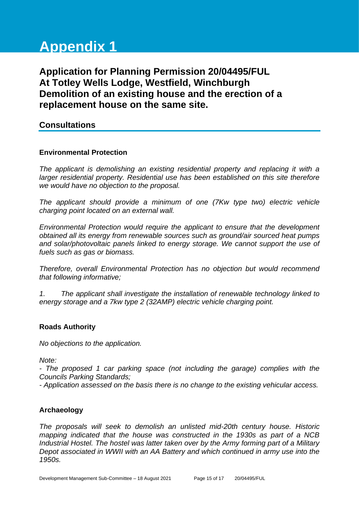# **Appendix 1**

# **Application for Planning Permission 20/04495/FUL At Totley Wells Lodge, Westfield, Winchburgh Demolition of an existing house and the erection of a replacement house on the same site.**

## **Consultations**

#### **Environmental Protection**

*The applicant is demolishing an existing residential property and replacing it with a larger residential property. Residential use has been established on this site therefore we would have no objection to the proposal.* 

*The applicant should provide a minimum of one (7Kw type two) electric vehicle charging point located on an external wall.* 

*Environmental Protection would require the applicant to ensure that the development obtained all its energy from renewable sources such as ground/air sourced heat pumps and solar/photovoltaic panels linked to energy storage. We cannot support the use of fuels such as gas or biomass.* 

*Therefore, overall Environmental Protection has no objection but would recommend that following informative;*

*1. The applicant shall investigate the installation of renewable technology linked to energy storage and a 7kw type 2 (32AMP) electric vehicle charging point.*

#### **Roads Authority**

*No objections to the application.* 

*Note:*

*- The proposed 1 car parking space (not including the garage) complies with the Councils Parking Standards;*

*- Application assessed on the basis there is no change to the existing vehicular access.*

#### **Archaeology**

*The proposals will seek to demolish an unlisted mid-20th century house. Historic mapping indicated that the house was constructed in the 1930s as part of a NCB Industrial Hostel. The hostel was latter taken over by the Army forming part of a Military Depot associated in WWII with an AA Battery and which continued in army use into the 1950s.*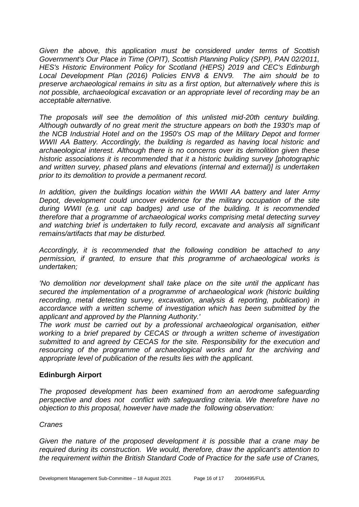*Given the above, this application must be considered under terms of Scottish Government's Our Place in Time (OPIT), Scottish Planning Policy (SPP), PAN 02/2011, HES's Historic Environment Policy for Scotland (HEPS) 2019 and CEC's Edinburgh Local Development Plan (2016) Policies ENV8 & ENV9. The aim should be to preserve archaeological remains in situ as a first option, but alternatively where this is not possible, archaeological excavation or an appropriate level of recording may be an acceptable alternative.*

*The proposals will see the demolition of this unlisted mid-20th century building. Although outwardly of no great merit the structure appears on both the 1930's map of the NCB Industrial Hotel and on the 1950's OS map of the Military Depot and former WWII AA Battery. Accordingly, the building is regarded as having local historic and archaeological interest. Although there is no concerns over its demolition given these historic associations it is recommended that it a historic building survey [photographic and written survey, phased plans and elevations (internal and external)] is undertaken prior to its demolition to provide a permanent record.*

*In addition, given the buildings location within the WWII AA battery and later Army Depot, development could uncover evidence for the military occupation of the site during WWII (e.g. unit cap badges) and use of the building. It is recommended therefore that a programme of archaeological works comprising metal detecting survey and watching brief is undertaken to fully record, excavate and analysis all significant remains/artifacts that may be disturbed.*

*Accordingly, it is recommended that the following condition be attached to any permission, if granted, to ensure that this programme of archaeological works is undertaken;* 

*'No demolition nor development shall take place on the site until the applicant has secured the implementation of a programme of archaeological work (historic building recording, metal detecting survey, excavation, analysis & reporting, publication) in accordance with a written scheme of investigation which has been submitted by the applicant and approved by the Planning Authority.'* 

*The work must be carried out by a professional archaeological organisation, either working to a brief prepared by CECAS or through a written scheme of investigation submitted to and agreed by CECAS for the site. Responsibility for the execution and resourcing of the programme of archaeological works and for the archiving and appropriate level of publication of the results lies with the applicant.*

## **Edinburgh Airport**

*The proposed development has been examined from an aerodrome safeguarding perspective and does not conflict with safeguarding criteria. We therefore have no objection to this proposal, however have made the following observation:* 

#### *Cranes*

*Given the nature of the proposed development it is possible that a crane may be required during its construction. We would, therefore, draw the applicant's attention to the requirement within the British Standard Code of Practice for the safe use of Cranes,*